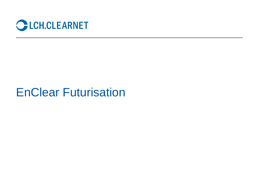

## EnClear Futurisation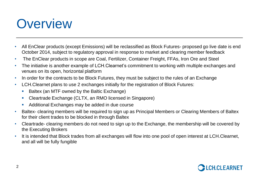# **Overview**

- All EnClear products (except Emissions) will be reclassified as Block Futures- proposed go live date is end October 2014, subject to regulatory approval in response to market and clearing member feedback
- The EnClear products in scope are Coal, Fertilizer, Container Freight, FFAs, Iron Ore and Steel
- The initiative is another example of LCH.Clearnet's commitment to working with multiple exchanges and venues on its open, horizontal platform
- In order for the contracts to be Block Futures, they must be subject to the rules of an Exchange
- LCH.Clearnet plans to use 2 exchanges initially for the registration of Block Futures:
	- Baltex (an MTF owned by the Baltic Exchange)
	- Cleartrade Exchange (CLTX, an RMO licensed in Singapore)
	- Additional Exchanges may be added in due course
- Baltex- clearing members will be required to sign up as Principal Members or Clearing Members of Baltex for their client trades to be blocked in through Baltex
- Cleartrade- clearing members do not need to sign up to the Exchange, the membership will be covered by the Executing Brokers
- It is intended that Block trades from all exchanges will flow into one pool of open interest at LCH.Clearnet, and all will be fully fungible

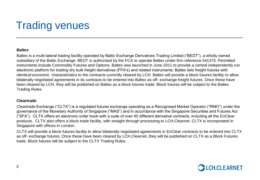## Trading venues

#### **Baltex**

Baltex is a multi-lateral trading facility operated by Baltic Exchange Derivatives Trading Limited ("BEDT"), a wholly owned subsidiary of the Baltic Exchange. BEDT is authorised by the FCA to operate Baltex under firm reference 541375. Permitted instruments include Commodity Futures and Options. Baltex was launched in June 2011 to provide a central independently run electronic platform for trading dry bulk freight derivatives (FFA's) and related instruments. Baltex lists freight futures with identical economic characteristics to the contracts currently cleared by LCH. Baltex will provide a block futures facility to allow bilaterally negotiated agreements in its contracts to be entered into Baltex as off- exchange freight futures. Once these have been cleared by LCH, they will be published on Baltex as a block futures trade. Block futures will be subject to the Baltex Trading Rules.

#### **Cleartrade**

Cleartrade Exchange ("CLTX") is a regulated futures exchange operating as a Recognised Market Operator ("RMO") under the governance of the Monetary Authority of Singapore ("MAS") and in accordance with the Singapore Securities and Futures Act ("SFA"). CLTX offers an electronic order book with a suite of over 40 different derivative contracts, including all the EnClear products. CLTX also offers a block trade facility, with straight through processing to LCH.Clearnet. CLTX is incorporated in Singapore with offices in London.

CLTX will provide a block futures facility to allow bilaterally negotiated agreements in EnClear contracts to be entered into CLTX as off- exchange futures. Once these have been cleared by LCH.Clearnet, they will be published on CLTX as a Block Futures trade. Block futures will be subject to the CLTX Trading Rules.

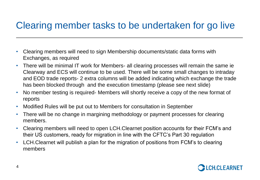### Clearing member tasks to be undertaken for go live

- Clearing members will need to sign Membership documents/static data forms with Exchanges, as required
- There will be minimal IT work for Members- all clearing processes will remain the same ie Clearway and ECS will continue to be used. There will be some small changes to intraday and EOD trade reports- 2 extra columns will be added indicating which exchange the trade has been blocked through and the execution timestamp (please see next slide)
- No member testing is required- Members will shortly receive a copy of the new format of reports
- Modified Rules will be put out to Members for consultation in September
- There will be no change in margining methodology or payment processes for clearing members.
- Clearing members will need to open LCH.Clearnet position accounts for their FCM's and their US customers, ready for migration in line with the CFTC's Part 30 regulation
- LCH.Clearnet will publish a plan for the migration of positions from FCM's to clearing members

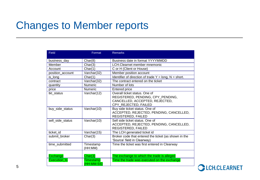## Changes to Member reports

| <b>Field</b>        | Format                  | <b>Remarks</b>                                                                                                               |  |
|---------------------|-------------------------|------------------------------------------------------------------------------------------------------------------------------|--|
| business_day        | Char(8)                 | Business date in format YYYYMMDD                                                                                             |  |
| Member              | Char(3)                 | LCH. Clearnet member mnemonic                                                                                                |  |
| Account             | Char(1)                 | C or H (Client or House)                                                                                                     |  |
| position account    | Varchar(32)             | Member position account                                                                                                      |  |
| is long             | Char(1)                 | Identifier of direction of trade $Y = long$ , $N = short$ .                                                                  |  |
| contract            | Varchar(32)             | The contract entered on the ticket                                                                                           |  |
| quantity            | <b>Numeric</b>          | Number of lots                                                                                                               |  |
| price               | <b>Numeric</b>          | Entered price                                                                                                                |  |
| tkt status          | Varchar(12)             | Overall ticket status. One of<br>REGISTERED, PENDING, CPY_PENDING,<br>CANCELLED, ACCEPTED, REJECTED,<br>CPY_REJECTED, FAILED |  |
| buy side status     | Varchar(10)             | Buy side ticket status. One of<br>ACCEPTED, REJECTED, PENDING, CANCELLED,<br>REGISTERED, FAILED                              |  |
| sell side status    | Varchar(10)             | Sell side ticket status. One of<br>ACCEPTED, REJECTED, PENDING, CANCELLED,<br>REGISTERED, FAILED                             |  |
| ticket id           | Varchar(15)             | The LCH generated ticket id                                                                                                  |  |
| submit broker       | Char(3)                 | Broker code that entered the ticket (as shown in the<br>'Source' field in Clearway)                                          |  |
| time submitted      | Timestamp<br>(HH:MM)    | Time the ticket was first entered in Clearway                                                                                |  |
| <b>Exchange</b>     | Char(3)                 | The exchange to which the trade is alleged                                                                                   |  |
| <b>Execution_ts</b> | Timestamp<br>(HH:MM:SS) | Time the trade was executed on the exchange                                                                                  |  |

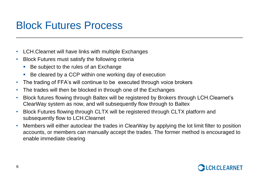## Block Futures Process

- LCH.Clearnet will have links with multiple Exchanges
- Block Futures must satisfy the following criteria
	- Be subject to the rules of an Exchange
	- Be cleared by a CCP within one working day of execution
- The trading of FFA's will continue to be executed through voice brokers
- The trades will then be blocked in through one of the Exchanges
- Block futures flowing through Baltex will be registered by Brokers through LCH.Clearnet's ClearWay system as now, and will subsequently flow through to Baltex
- Block Futures flowing through CLTX will be registered through CLTX platform and subsequently flow to LCH.Clearnet
- Members will either autoclear the trades in ClearWay by applying the lot limit filter to position accounts, or members can manually accept the trades. The former method is encouraged to enable immediate clearing

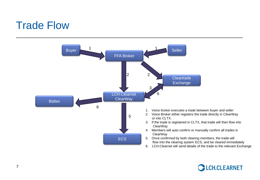### Trade Flow



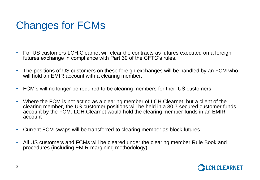## Changes for FCMs

- For US customers LCH.Clearnet will clear the contracts as futures executed on a foreign futures exchange in compliance with Part 30 of the CFTC's rules.
- The positions of US customers on these foreign exchanges will be handled by an FCM who will hold an EMIR account with a clearing member.
- FCM's will no longer be required to be clearing members for their US customers
- Where the FCM is not acting as a clearing member of LCH.Clearnet, but a client of the clearing member, the US customer positions will be held in a 30.7 secured customer funds account by the FCM. LCH.Clearnet would hold the clearing member funds in an EMIR account
- Current FCM swaps will be transferred to clearing member as block futures
- All US customers and FCMs will be cleared under the clearing member Rule Book and procedures (including EMIR margining methodology)

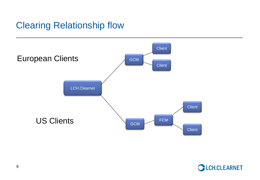### Clearing Relationship flow



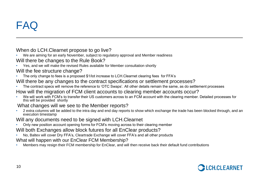## FAQ

### When do LCH.Clearnet propose to go live?

- We are aiming for an early November, subject to regulatory approval and Member readiness
- Will there be changes to the Rule Book?
- Yes, and we will make the revised Rules available for Member consultation shortly

### Will the fee structure change?

- The only change to fees is a proposed \$1/lot increase to LCH.Clearnet clearing fees for FFA's
- Will there be any changes to the contract specifications or settlement processes?
- The contract specs will remove the reference to 'OTC Swaps'. All other details remain the same, as do settlement processes
- How will the migration of FCM client accounts to clearing member accounts occur?
- We will work with FCM's to transfer their US customers across to an FCM account with the clearing member. Detailed processes for this will be provided shortly

### What changes will we see to the Member reports?

• 2 extra columns will be added to the intra day and end day reports to show which exchange the trade has been blocked through, and an execution timestamp

### Will any documents need to be signed with LCH.Clearnet

• Only new position account opening forms for FCM's moving across to their clearing member

### Will both Exchanges allow block futures for all EnClear products?

• No, Baltex will cover Dry FFA's, Cleartrade Exchange will cover FFA's and all other products

#### What will happen with our EnClear FCM Membership?

• Members may resign their FCM membership for EnClear, and will then receive back their default fund contributions